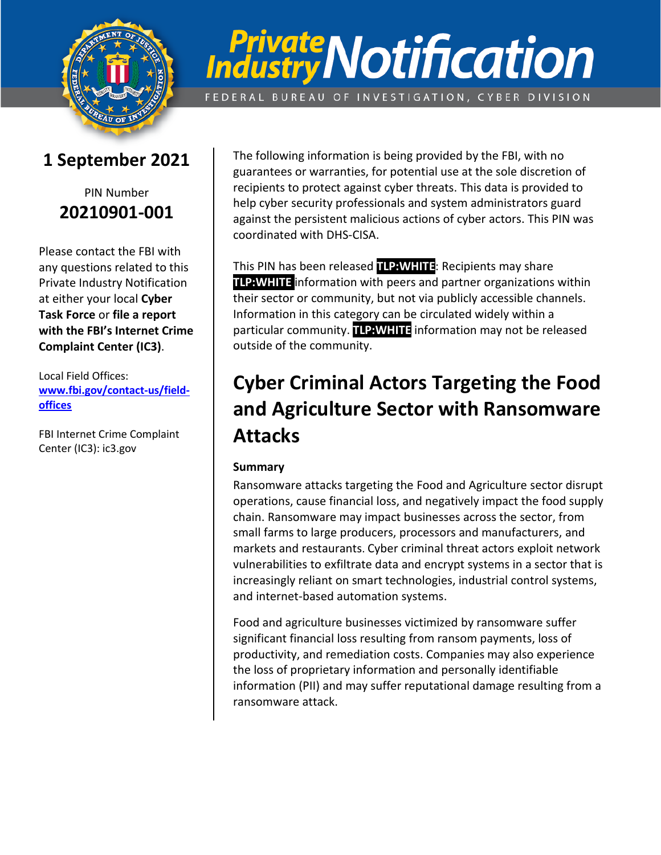

# **Private Notification**

FEDERAL BUREAU OF INVESTIGATION, CYBER DIVISION

### **1 September 2021**

#### PIN Number **20210901-001**

Please contact the FBI with any questions related to this Private Industry Notification at either your local **Cyber Task Force** or **file a report with the FBI's Internet Crime Complaint Center (IC3)**.

Local Field Offices: **[www.fbi.gov/contact-us/field](http://www.fbi.gov/contact-us/field)offices**

FBI Internet Crime Complaint Center (IC3): ic3.gov

The following information is being provided by the FBI, with no guarantees or warranties, for potential use at the sole discretion of recipients to protect against cyber threats. This data is provided to help cyber security professionals and system administrators guard against the persistent malicious actions of cyber actors. This PIN was coordinated with DHS-CISA.

This PIN has been released **TLP:WHITE**: Recipients may share **TLP:WHITE** information with peers and partner organizations within their sector or community, but not via publicly accessible channels. Information in this category can be circulated widely within a particular community. **TLP:WHITE** information may not be released outside of the community.

# **Cyber Criminal Actors Targeting the Food and Agriculture Sector with Ransomware Attacks**

#### **Summary**

Ransomware attacks targeting the Food and Agriculture sector disrupt operations, cause financial loss, and negatively impact the food supply chain. Ransomware may impact businesses across the sector, from small farms to large producers, processors and manufacturers, and markets and restaurants. Cyber criminal threat actors exploit network vulnerabilities to exfiltrate data and encrypt systems in a sector that is increasingly reliant on smart technologies, industrial control systems, and internet-based automation systems.

Food and agriculture businesses victimized by ransomware suffer significant financial loss resulting from ransom payments, loss of productivity, and remediation costs. Companies may also experience the loss of proprietary information and personally identifiable information (PII) and may suffer reputational damage resulting from a ransomware attack.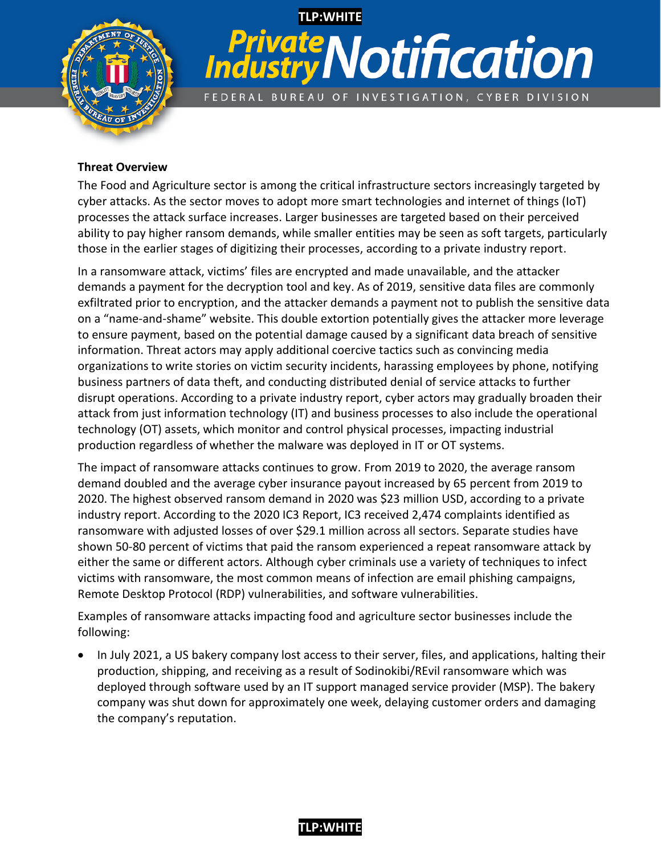

# **TLP:WHITE Private Notification** FEDERAL BUREAU OF INVESTIGATION, CYBER DIVISION

#### **Threat Overview**

The Food and Agriculture sector is among the critical infrastructure sectors increasingly targeted by cyber attacks. As the sector moves to adopt more smart technologies and internet of things (IoT) processes the attack surface increases. Larger businesses are targeted based on their perceived ability to pay higher ransom demands, while smaller entities may be seen as soft targets, particularly those in the earlier stages of digitizing their processes, according to a private industry report.

In a ransomware attack, victims' files are encrypted and made unavailable, and the attacker demands a payment for the decryption tool and key. As of 2019, sensitive data files are commonly exfiltrated prior to encryption, and the attacker demands a payment not to publish the sensitive data on a "name-and-shame" website. This double extortion potentially gives the attacker more leverage to ensure payment, based on the potential damage caused by a significant data breach of sensitive information. Threat actors may apply additional coercive tactics such as convincing media organizations to write stories on victim security incidents, harassing employees by phone, notifying business partners of data theft, and conducting distributed denial of service attacks to further disrupt operations. According to a private industry report, cyber actors may gradually broaden their attack from just information technology (IT) and business processes to also include the operational technology (OT) assets, which monitor and control physical processes, impacting industrial production regardless of whether the malware was deployed in IT or OT systems.

The impact of ransomware attacks continues to grow. From 2019 to 2020, the average ransom demand doubled and the average cyber insurance payout increased by 65 percent from 2019 to 2020. The highest observed ransom demand in 2020 was \$23 million USD, according to a private industry report. According to the 2020 IC3 Report, IC3 received 2,474 complaints identified as ransomware with adjusted losses of over \$29.1 million across all sectors. Separate studies have shown 50-80 percent of victims that paid the ransom experienced a repeat ransomware attack by either the same or different actors. Although cyber criminals use a variety of techniques to infect victims with ransomware, the most common means of infection are email phishing campaigns, Remote Desktop Protocol (RDP) vulnerabilities, and software vulnerabilities.

Examples of ransomware attacks impacting food and agriculture sector businesses include the following:

• In July 2021, a US bakery company lost access to their server, files, and applications, halting their production, shipping, and receiving as a result of Sodinokibi/REvil ransomware which was deployed through software used by an IT support managed service provider (MSP). The bakery company was shut down for approximately one week, delaying customer orders and damaging the company's reputation.

#### **TLP:WHITE**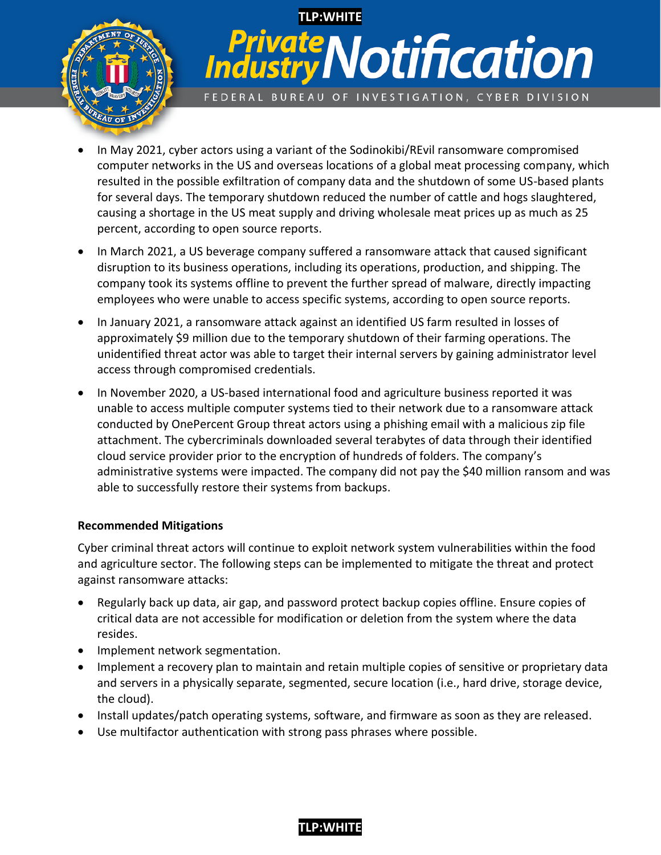

# **TLP:WHITE Private Notification** FEDERAL BUREAU OF INVESTIGATION, CYBER DIVISION

- In May 2021, cyber actors using a variant of the Sodinokibi/REvil ransomware compromised computer networks in the US and overseas locations of a global meat processing company, which resulted in the possible exfiltration of company data and the shutdown of some US-based plants for several days. The temporary shutdown reduced the number of cattle and hogs slaughtered, causing a shortage in the US meat supply and driving wholesale meat prices up as much as 25 percent, according to open source reports.
- In March 2021, a US beverage company suffered a ransomware attack that caused significant disruption to its business operations, including its operations, production, and shipping. The company took its systems offline to prevent the further spread of malware, directly impacting employees who were unable to access specific systems, according to open source reports.
- In January 2021, a ransomware attack against an identified US farm resulted in losses of approximately \$9 million due to the temporary shutdown of their farming operations. The unidentified threat actor was able to target their internal servers by gaining administrator level access through compromised credentials.
- In November 2020, a US-based international food and agriculture business reported it was unable to access multiple computer systems tied to their network due to a ransomware attack conducted by OnePercent Group threat actors using a phishing email with a malicious zip file attachment. The cybercriminals downloaded several terabytes of data through their identified cloud service provider prior to the encryption of hundreds of folders. The company's administrative systems were impacted. The company did not pay the \$40 million ransom and was able to successfully restore their systems from backups.

#### **Recommended Mitigations**

Cyber criminal threat actors will continue to exploit network system vulnerabilities within the food and agriculture sector. The following steps can be implemented to mitigate the threat and protect against ransomware attacks:

- Regularly back up data, air gap, and password protect backup copies offline. Ensure copies of critical data are not accessible for modification or deletion from the system where the data resides.
- Implement network segmentation.
- Implement a recovery plan to maintain and retain multiple copies of sensitive or proprietary data and servers in a physically separate, segmented, secure location (i.e., hard drive, storage device, the cloud).
- Install updates/patch operating systems, software, and firmware as soon as they are released.
- Use multifactor authentication with strong pass phrases where possible.

#### **TLP:WHITE**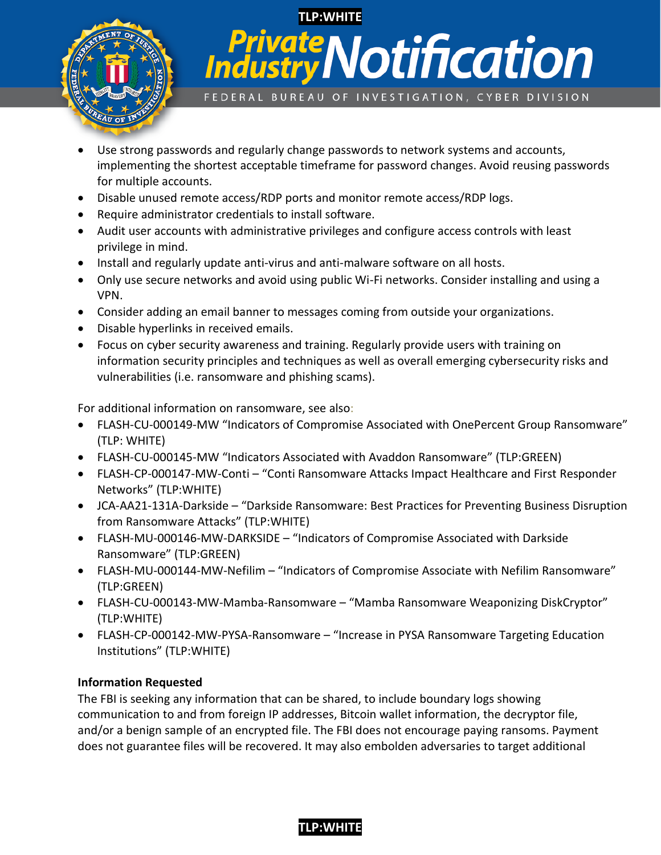

## **TLP:WHITE vate Notification Indust** FEDERAL BUREAU OF INVESTIGATION, CYBER DIVISION

- Use strong passwords and regularly change passwords to network systems and accounts, implementing the shortest acceptable timeframe for password changes. Avoid reusing passwords for multiple accounts.
- Disable unused remote access/RDP ports and monitor remote access/RDP logs.
- Require administrator credentials to install software.
- Audit user accounts with administrative privileges and configure access controls with least privilege in mind.
- Install and regularly update anti-virus and anti-malware software on all hosts.
- Only use secure networks and avoid using public Wi-Fi networks. Consider installing and using a VPN.
- Consider adding an email banner to messages coming from outside your organizations.
- Disable hyperlinks in received emails.
- Focus on cyber security awareness and training. Regularly provide users with training on information security principles and techniques as well as overall emerging cybersecurity risks and vulnerabilities (i.e. ransomware and phishing scams).

For additional information on ransomware, see also:

- FLASH-CU-000149-MW "Indicators of Compromise Associated with OnePercent Group Ransomware" (TLP: WHITE)
- FLASH-CU-000145-MW "Indicators Associated with Avaddon Ransomware" (TLP:GREEN)
- FLASH-CP-000147-MW-Conti "Conti Ransomware Attacks Impact Healthcare and First Responder Networks" (TLP:WHITE)
- JCA-AA21-131A-Darkside "Darkside Ransomware: Best Practices for Preventing Business Disruption from Ransomware Attacks" (TLP:WHITE)
- FLASH-MU-000146-MW-DARKSIDE "Indicators of Compromise Associated with Darkside Ransomware" (TLP:GREEN)
- FLASH-MU-000144-MW-Nefilim "Indicators of Compromise Associate with Nefilim Ransomware" (TLP:GREEN)
- FLASH-CU-000143-MW-Mamba-Ransomware "Mamba Ransomware Weaponizing DiskCryptor" (TLP:WHITE)
- FLASH-CP-000142-MW-PYSA-Ransomware "Increase in PYSA Ransomware Targeting Education Institutions" (TLP:WHITE)

#### **Information Requested**

The FBI is seeking any information that can be shared, to include boundary logs showing communication to and from foreign IP addresses, Bitcoin wallet information, the decryptor file, and/or a benign sample of an encrypted file. The FBI does not encourage paying ransoms. Payment does not guarantee files will be recovered. It may also embolden adversaries to target additional

#### **TLP:WHITE**